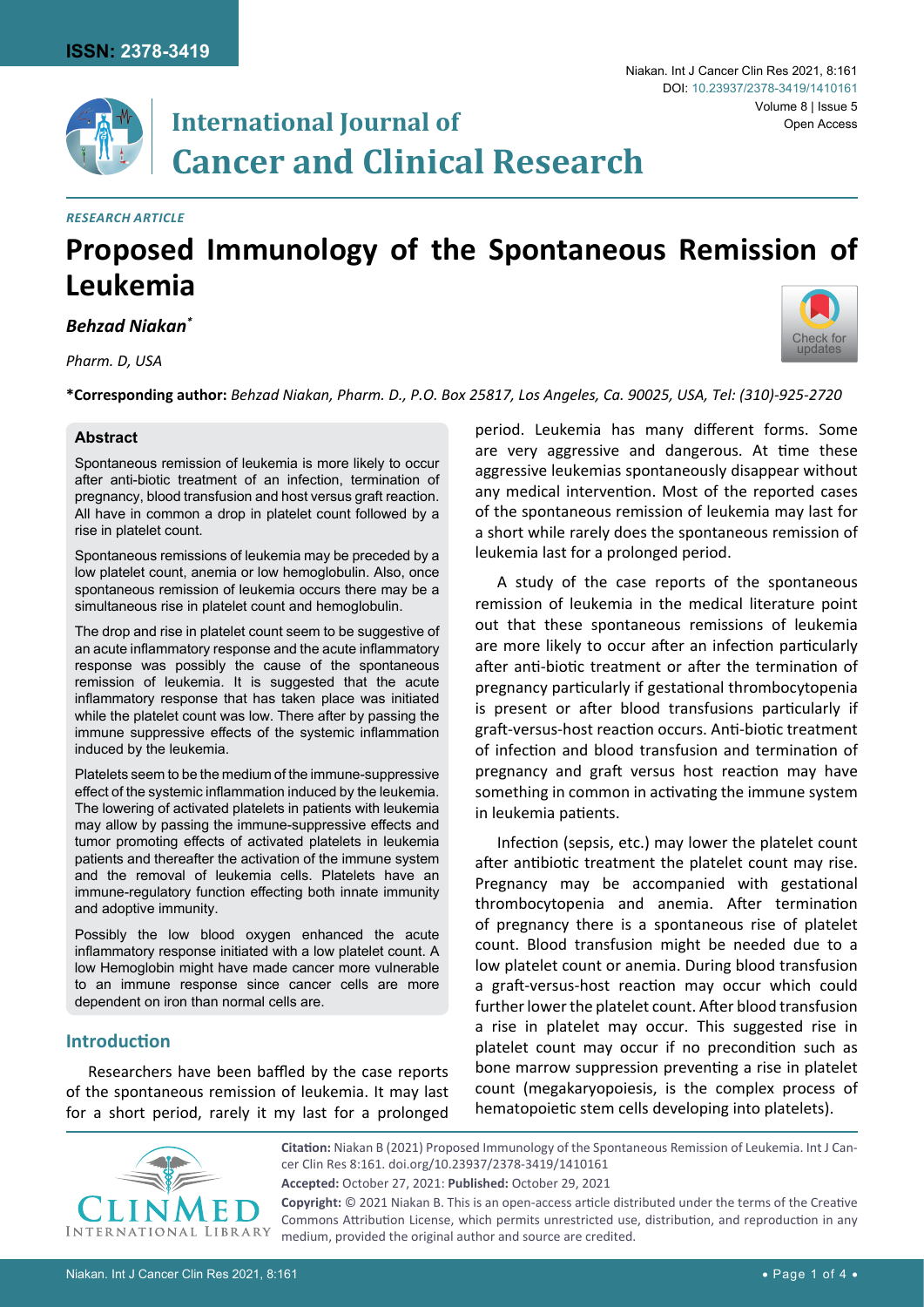[Check for](http://crossmark.crossref.org/dialog/?doi=10.23937/2378-3419/1410161&domain=pdf) updates

# **International Journal of Cancer and Clinical Research**

#### *Research Article*

# **Proposed Immunology of the Spontaneous Remission of Leukemia**

*Behzad Niakan\**

*Pharm. D, USA*

**\*Corresponding author:** *Behzad Niakan, Pharm. D., P.O. Box 25817, Los Angeles, Ca. 90025, USA, Tel: (310)-925-2720*

#### **Abstract**

Spontaneous remission of leukemia is more likely to occur after anti-biotic treatment of an infection, termination of pregnancy, blood transfusion and host versus graft reaction. All have in common a drop in platelet count followed by a rise in platelet count.

Spontaneous remissions of leukemia may be preceded by a low platelet count, anemia or low hemoglobulin. Also, once spontaneous remission of leukemia occurs there may be a simultaneous rise in platelet count and hemoglobulin.

The drop and rise in platelet count seem to be suggestive of an acute inflammatory response and the acute inflammatory response was possibly the cause of the spontaneous remission of leukemia. It is suggested that the acute inflammatory response that has taken place was initiated while the platelet count was low. There after by passing the immune suppressive effects of the systemic inflammation induced by the leukemia.

Platelets seem to be the medium of the immune-suppressive effect of the systemic inflammation induced by the leukemia. The lowering of activated platelets in patients with leukemia may allow by passing the immune-suppressive effects and tumor promoting effects of activated platelets in leukemia patients and thereafter the activation of the immune system and the removal of leukemia cells. Platelets have an immune-regulatory function effecting both innate immunity and adoptive immunity.

Possibly the low blood oxygen enhanced the acute inflammatory response initiated with a low platelet count. A low Hemoglobin might have made cancer more vulnerable to an immune response since cancer cells are more dependent on iron than normal cells are.

# **Introduction**

Researchers have been baffled by the case reports of the spontaneous remission of leukemia. It may last for a short period, rarely it my last for a prolonged

period. Leukemia has many different forms. Some are very aggressive and dangerous. At time these aggressive leukemias spontaneously disappear without any medical intervention. Most of the reported cases of the spontaneous remission of leukemia may last for a short while rarely does the spontaneous remission of leukemia last for a prolonged period.

A study of the case reports of the spontaneous remission of leukemia in the medical literature point out that these spontaneous remissions of leukemia are more likely to occur after an infection particularly after anti-biotic treatment or after the termination of pregnancy particularly if gestational thrombocytopenia is present or after blood transfusions particularly if graft-versus-host reaction occurs. Anti-biotic treatment of infection and blood transfusion and termination of pregnancy and graft versus host reaction may have something in common in activating the immune system in leukemia patients.

Infection (sepsis, etc.) may lower the platelet count after antibiotic treatment the platelet count may rise. Pregnancy may be accompanied with gestational thrombocytopenia and anemia. After termination of pregnancy there is a spontaneous rise of platelet count. Blood transfusion might be needed due to a low platelet count or anemia. During blood transfusion a graft-versus-host reaction may occur which could further lower the platelet count. After blood transfusion a rise in platelet may occur. This suggested rise in platelet count may occur if no precondition such as bone marrow suppression preventing a rise in platelet count (megakaryopoiesis, is the complex process of hematopoietic stem cells developing into platelets).



**Citation:** Niakan B (2021) Proposed Immunology of the Spontaneous Remission of Leukemia. Int J Cancer Clin Res 8:161. [doi.org/10.23937/2378-3419/1410161](https://doi.org/10.23937/2378-3419/1410161) **Accepted:** October 27, 2021: **Published:** October 29, 2021 **Copyright:** © 2021 Niakan B. This is an open-access article distributed under the terms of the Creative

Commons Attribution License, which permits unrestricted use, distribution, and reproduction in any medium, provided the original author and source are credited.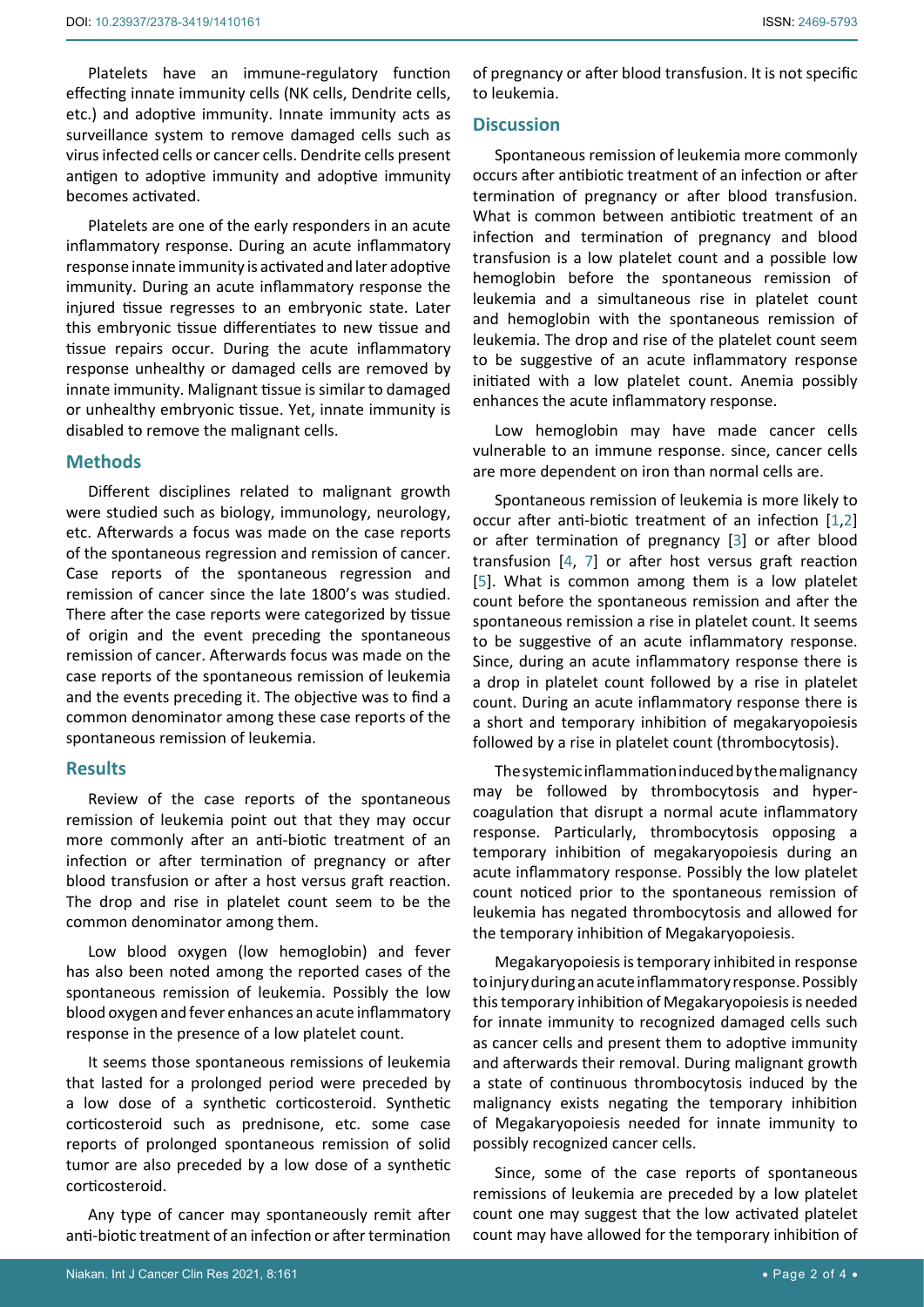Platelets have an immune-regulatory function effecting innate immunity cells (NK cells, Dendrite cells, etc.) and adoptive immunity. Innate immunity acts as surveillance system to remove damaged cells such as virus infected cells or cancer cells. Dendrite cells present antigen to adoptive immunity and adoptive immunity becomes activated.

Platelets are one of the early responders in an acute inflammatory response. During an acute inflammatory response innate immunity is activated and later adoptive immunity. During an acute inflammatory response the injured tissue regresses to an embryonic state. Later this embryonic tissue differentiates to new tissue and tissue repairs occur. During the acute inflammatory response unhealthy or damaged cells are removed by innate immunity. Malignant tissue is similar to damaged or unhealthy embryonic tissue. Yet, innate immunity is disabled to remove the malignant cells.

#### **Methods**

Different disciplines related to malignant growth were studied such as biology, immunology, neurology, etc. Afterwards a focus was made on the case reports of the spontaneous regression and remission of cancer. Case reports of the spontaneous regression and remission of cancer since the late 1800's was studied. There after the case reports were categorized by tissue of origin and the event preceding the spontaneous remission of cancer. Afterwards focus was made on the case reports of the spontaneous remission of leukemia and the events preceding it. The objective was to find a common denominator among these case reports of the spontaneous remission of leukemia.

#### **Results**

Review of the case reports of the spontaneous remission of leukemia point out that they may occur more commonly after an anti-biotic treatment of an infection or after termination of pregnancy or after blood transfusion or after a host versus graft reaction. The drop and rise in platelet count seem to be the common denominator among them.

Low blood oxygen (low hemoglobin) and fever has also been noted among the reported cases of the spontaneous remission of leukemia. Possibly the low blood oxygen and fever enhances an acute inflammatory response in the presence of a low platelet count.

It seems those spontaneous remissions of leukemia that lasted for a prolonged period were preceded by a low dose of a synthetic corticosteroid. Synthetic corticosteroid such as prednisone, etc. some case reports of prolonged spontaneous remission of solid tumor are also preceded by a low dose of a synthetic corticosteroid.

Any type of cancer may spontaneously remit after anti-biotic treatment of an infection or after termination

of pregnancy or after blood transfusion. It is not specific to leukemia.

#### **Discussion**

Spontaneous remission of leukemia more commonly occurs after antibiotic treatment of an infection or after termination of pregnancy or after blood transfusion. What is common between antibiotic treatment of an infection and termination of pregnancy and blood transfusion is a low platelet count and a possible low hemoglobin before the spontaneous remission of leukemia and a simultaneous rise in platelet count and hemoglobin with the spontaneous remission of leukemia. The drop and rise of the platelet count seem to be suggestive of an acute inflammatory response initiated with a low platelet count. Anemia possibly enhances the acute inflammatory response.

Low hemoglobin may have made cancer cells vulnerable to an immune response. since, cancer cells are more dependent on iron than normal cells are.

Spontaneous remission of leukemia is more likely to occur after anti-biotic treatment of an infection [[1](#page-3-0),[2](#page-3-1)] or after termination of pregnancy [[3](#page-3-2)] or after blood transfusion [[4](#page-3-3), [7](#page-3-4)] or after host versus graft reaction [[5](#page-3-5)]. What is common among them is a low platelet count before the spontaneous remission and after the spontaneous remission a rise in platelet count. It seems to be suggestive of an acute inflammatory response. Since, during an acute inflammatory response there is a drop in platelet count followed by a rise in platelet count. During an acute inflammatory response there is a short and temporary inhibition of megakaryopoiesis followed by a rise in platelet count (thrombocytosis).

The systemic inflammation induced by the malignancy may be followed by thrombocytosis and hypercoagulation that disrupt a normal acute inflammatory response. Particularly, thrombocytosis opposing a temporary inhibition of megakaryopoiesis during an acute inflammatory response. Possibly the low platelet count noticed prior to the spontaneous remission of leukemia has negated thrombocytosis and allowed for the temporary inhibition of Megakaryopoiesis.

Megakaryopoiesis is temporary inhibited in response to injury during an acute inflammatory response. Possibly this temporary inhibition of Megakaryopoiesis is needed for innate immunity to recognized damaged cells such as cancer cells and present them to adoptive immunity and afterwards their removal. During malignant growth a state of continuous thrombocytosis induced by the malignancy exists negating the temporary inhibition of Megakaryopoiesis needed for innate immunity to possibly recognized cancer cells.

Since, some of the case reports of spontaneous remissions of leukemia are preceded by a low platelet count one may suggest that the low activated platelet count may have allowed for the temporary inhibition of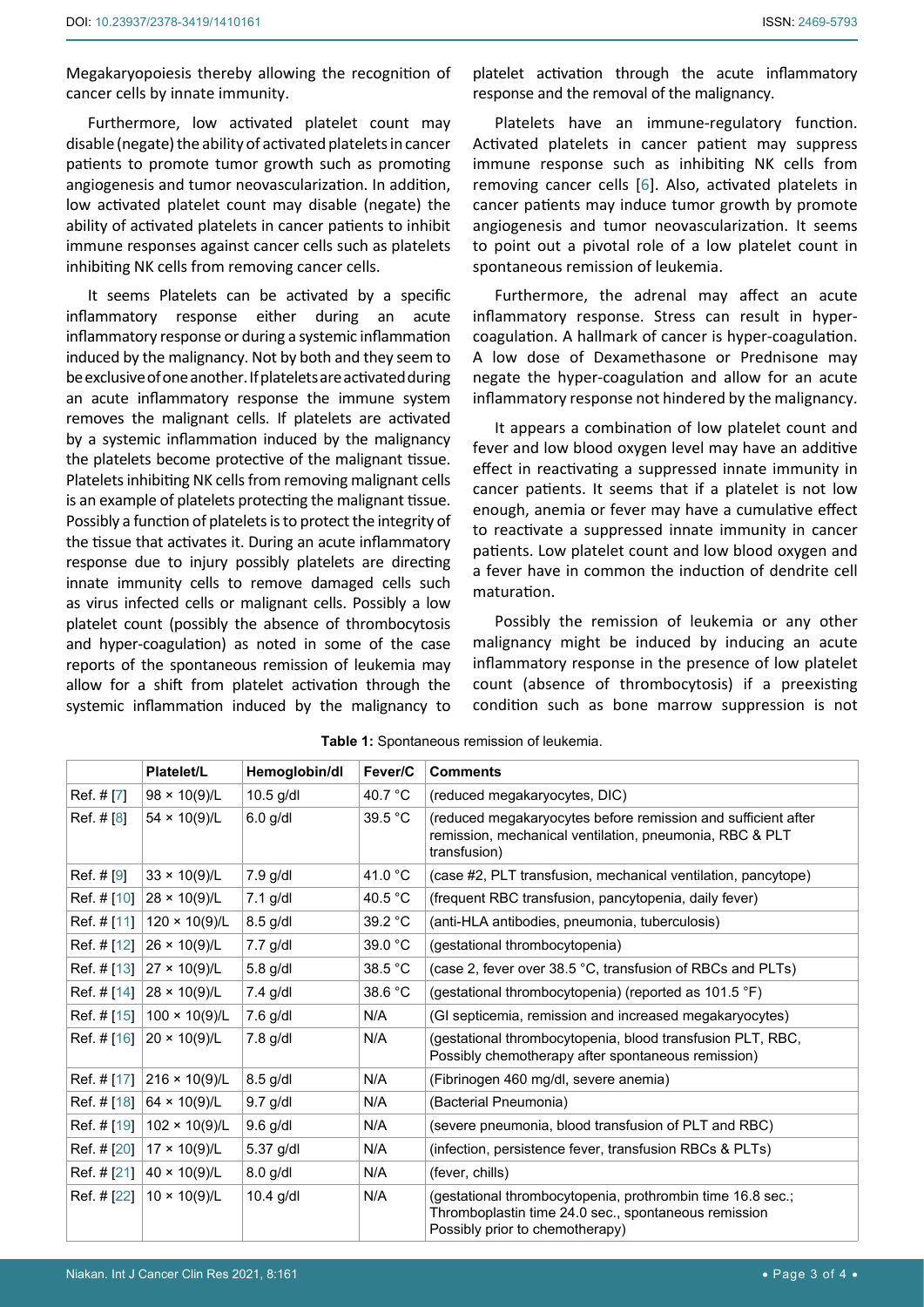Megakaryopoiesis thereby allowing the recognition of cancer cells by innate immunity.

Furthermore, low activated platelet count may disable (negate) the ability of activated platelets in cancer patients to promote tumor growth such as promoting angiogenesis and tumor neovascularization. In addition, low activated platelet count may disable (negate) the ability of activated platelets in cancer patients to inhibit immune responses against cancer cells such as platelets inhibiting NK cells from removing cancer cells.

It seems Platelets can be activated by a specific inflammatory response either during an acute inflammatory response or during a systemic inflammation induced by the malignancy. Not by both and they seem to be exclusive of one another. If platelets are activated during an acute inflammatory response the immune system removes the malignant cells. If platelets are activated by a systemic inflammation induced by the malignancy the platelets become protective of the malignant tissue. Platelets inhibiting NK cells from removing malignant cells is an example of platelets protecting the malignant tissue. Possibly a function of platelets is to protect the integrity of the tissue that activates it. During an acute inflammatory response due to injury possibly platelets are directing innate immunity cells to remove damaged cells such as virus infected cells or malignant cells. Possibly a low platelet count (possibly the absence of thrombocytosis and hyper-coagulation) as noted in some of the case reports of the spontaneous remission of leukemia may allow for a shift from platelet activation through the systemic inflammation induced by the malignancy to

platelet activation through the acute inflammatory response and the removal of the malignancy.

Platelets have an immune-regulatory function. Activated platelets in cancer patient may suppress immune response such as inhibiting NK cells from removing cancer cells [[6](#page-3-6)]. Also, activated platelets in cancer patients may induce tumor growth by promote angiogenesis and tumor neovascularization. It seems to point out a pivotal role of a low platelet count in spontaneous remission of leukemia.

Furthermore, the adrenal may affect an acute inflammatory response. Stress can result in hypercoagulation. A hallmark of cancer is hyper-coagulation. A low dose of Dexamethasone or Prednisone may negate the hyper-coagulation and allow for an acute inflammatory response not hindered by the malignancy.

It appears a combination of low platelet count and fever and low blood oxygen level may have an additive effect in reactivating a suppressed innate immunity in cancer patients. It seems that if a platelet is not low enough, anemia or fever may have a cumulative effect to reactivate a suppressed innate immunity in cancer patients. Low platelet count and low blood oxygen and a fever have in common the induction of dendrite cell maturation.

Possibly the remission of leukemia or any other malignancy might be induced by inducing an acute inflammatory response in the presence of low platelet count (absence of thrombocytosis) if a preexisting condition such as bone marrow suppression is not

|             | <b>Platelet/L</b>    | Hemoglobin/dl | Fever/C           | <b>Comments</b>                                                                                                                                       |
|-------------|----------------------|---------------|-------------------|-------------------------------------------------------------------------------------------------------------------------------------------------------|
| Ref. # [7]  | $98 \times 10(9)/L$  | $10.5$ g/dl   | 40.7 °C           | (reduced megakaryocytes, DIC)                                                                                                                         |
| Ref. # [8]  | $54 \times 10(9)/L$  | $6.0$ g/dl    | 39.5 °C           | (reduced megakaryocytes before remission and sufficient after<br>remission, mechanical ventilation, pneumonia, RBC & PLT<br>transfusion)              |
| Ref. # [9]  | $33 \times 10(9)/L$  | $7.9$ g/dl    | 41.0 °C           | (case #2, PLT transfusion, mechanical ventilation, pancytope)                                                                                         |
| Ref. # [10] | $28 \times 10(9)/L$  | $7.1$ g/dl    | 40.5 $^{\circ}$ C | (frequent RBC transfusion, pancytopenia, daily fever)                                                                                                 |
| Ref. # [11] | $120 \times 10(9)/L$ | $8.5$ g/dl    | 39.2 °C           | (anti-HLA antibodies, pneumonia, tuberculosis)                                                                                                        |
| Ref. # [12] | $26 \times 10(9)/L$  | 7.7 g/dl      | 39.0 °C           | (gestational thrombocytopenia)                                                                                                                        |
| Ref. # [13] | $27 \times 10(9)/L$  | $5.8$ g/dl    | 38.5 °C           | (case 2, fever over 38.5 °C, transfusion of RBCs and PLTs)                                                                                            |
| Ref. # [14] | $28 \times 10(9)/L$  | $7.4$ g/dl    | 38.6 °C           | (gestational thrombocytopenia) (reported as 101.5 °F)                                                                                                 |
| Ref. # [15] | $100 \times 10(9)/L$ | $7.6$ g/dl    | N/A               | (GI septicemia, remission and increased megakaryocytes)                                                                                               |
| Ref. # [16] | $20 \times 10(9)/L$  | $7.8$ g/dl    | N/A               | (gestational thrombocytopenia, blood transfusion PLT, RBC,<br>Possibly chemotherapy after spontaneous remission)                                      |
| Ref. # [17] | $216 \times 10(9)/L$ | $8.5$ g/dl    | N/A               | (Fibrinogen 460 mg/dl, severe anemia)                                                                                                                 |
| Ref. # [18] | $64 \times 10(9)/L$  | $9.7$ g/dl    | N/A               | (Bacterial Pneumonia)                                                                                                                                 |
| Ref. # [19] | $102 \times 10(9)/L$ | $9.6$ g/dl    | N/A               | (severe pneumonia, blood transfusion of PLT and RBC)                                                                                                  |
| Ref. # [20] | $17 \times 10(9)/L$  | 5.37 g/dl     | N/A               | (infection, persistence fever, transfusion RBCs & PLTs)                                                                                               |
| Ref. # [21] | $40 \times 10(9)/L$  | $8.0$ g/dl    | N/A               | (fever, chills)                                                                                                                                       |
| Ref. # [22] | $10 \times 10(9)/L$  | $10.4$ g/dl   | N/A               | (gestational thrombocytopenia, prothrombin time 16.8 sec.;<br>Thromboplastin time 24.0 sec., spontaneous remission<br>Possibly prior to chemotherapy) |

**Table 1:** Spontaneous remission of leukemia.